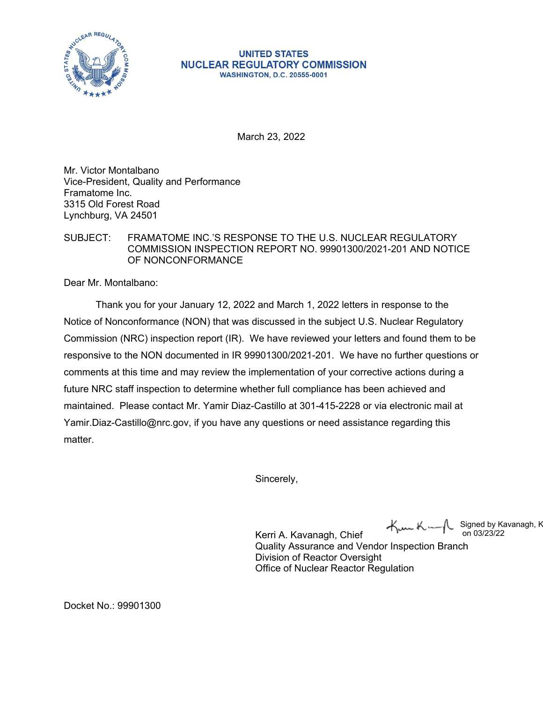

## **UNITED STATES NUCLEAR REGULATORY COMMISSION WASHINGTON, D.C. 20555-0001**

March 23, 2022

Mr. Victor Montalbano Vice-President, Quality and Performance Framatome Inc. 3315 Old Forest Road Lynchburg, VA 24501

## SUBJECT: FRAMATOME INC.'S RESPONSE TO THE U.S. NUCLEAR REGULATORY COMMISSION INSPECTION REPORT NO. 99901300/2021-201 AND NOTICE OF NONCONFORMANCE

Dear Mr. Montalbano:

Thank you for your January 12, 2022 and March 1, 2022 letters in response to the Notice of Nonconformance (NON) that was discussed in the subject U.S. Nuclear Regulatory Commission (NRC) inspection report (IR). We have reviewed your letters and found them to be responsive to the NON documented in IR 99901300/2021-201. We have no further questions or comments at this time and may review the implementation of your corrective actions during a future NRC staff inspection to determine whether full compliance has been achieved and maintained. Please contact Mr. Yamir Diaz-Castillo at 301-415-2228 or via electronic mail at Yamir.Diaz-Castillo@nrc.gov, if you have any questions or need assistance regarding this matter.

Sincerely,

Kunk Signed by Kavanagh, K on 03/23/22

Kerri A. Kavanagh, Chief Quality Assurance and Vendor Inspection Branch Division of Reactor Oversight Office of Nuclear Reactor Regulation

Docket No.: 99901300